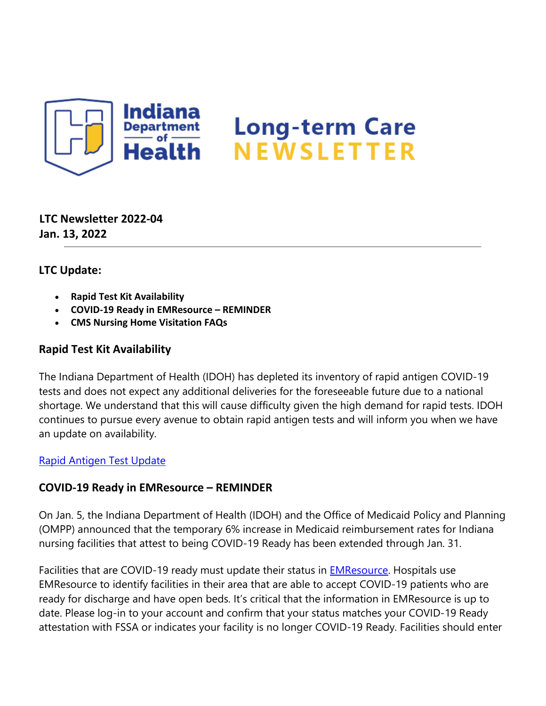

**LTC Newsletter 2022-04 Jan. 13, 2022**

# **LTC Update:**

- **Rapid Test Kit Availability**
- **COVID-19 Ready in EMResource REMINDER**
- **CMS Nursing Home Visitation FAQs**

# **Rapid Test Kit Availability**

The Indiana Department of Health (IDOH) has depleted its inventory of rapid antigen COVID-19 tests and does not expect any additional deliveries for the foreseeable future due to a national shortage. We understand that this will cause difficulty given the high demand for rapid tests. IDOH continues to pursue every avenue to obtain rapid antigen tests and will inform you when we have an update on availability.

## [Rapid Antigen Test Update](https://lnks.gd/l/eyJhbGciOiJIUzI1NiJ9.eyJidWxsZXRpbl9saW5rX2lkIjoxMDAsInVyaSI6ImJwMjpjbGljayIsImJ1bGxldGluX2lkIjoiMjAyMjAxMTMuNTE3NjU1MTEiLCJ1cmwiOiJodHRwczovL2NvbnRlbnQuZ292ZGVsaXZlcnkuY29tL2F0dGFjaG1lbnRzL0lOU0RILzIwMjIvMDEvMTMvZmlsZV9hdHRhY2htZW50cy8yMDQ2ODY2L1JhcGlkJTIwVGVzdGluZyUyMDEuMTIuMjIucGRmIn0.BoYVgMr7ApGVeROGuBzAJRqtWJTxrAH0F0RTqjj4Nf8/s/1439130268/br/124890956138-l)

# **COVID-19 Ready in EMResource – REMINDER**

On Jan. 5, the Indiana Department of Health (IDOH) and the Office of Medicaid Policy and Planning (OMPP) announced that the temporary 6% increase in Medicaid reimbursement rates for Indiana nursing facilities that attest to being COVID-19 Ready has been extended through Jan. 31.

Facilities that are COVID-19 ready must update their status in **EMResource**. Hospitals use EMResource to identify facilities in their area that are able to accept COVID-19 patients who are ready for discharge and have open beds. It's critical that the information in EMResource is up to date. Please log-in to your account and confirm that your status matches your COVID-19 Ready attestation with FSSA or indicates your facility is no longer COVID-19 Ready. Facilities should enter